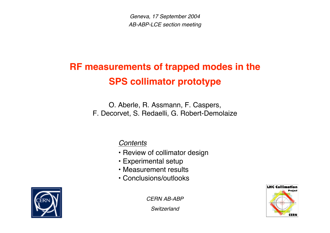Geneva, 17 September 2004 AB-ABP-LCE section meeting

# **RF measurements of trapped modes in the SPS collimator prototype**

O. Aberle, R. Assmann, F. Caspers, F. Decorvet, S. Redaelli, G. Robert-Demolaize

**Contents** 

- Review of collimator design
- Experimental setup
- Measurement results
- Conclusions/outlooks



CERN AB-ABP

**Switzerland** 

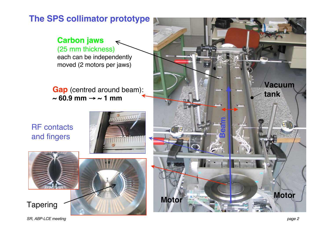#### **The SPS collimator prototype**

#### **Carbon jaws** (25 mm thickness)

each can be independently moved (2 motors per jaws)

**Gap** (centred around beam):  $\sim$  60.9 mm  $\rightarrow$   $\sim$  1 mm

RF contacts and fingers





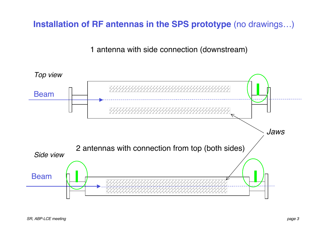**Installation of RF antennas in the SPS prototype** (no drawings…)

1 antenna with side connection (downstream)

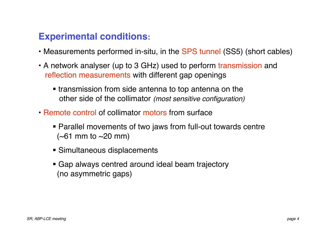## **Experimental conditions:**

- Measurements performed in-situ, in the SPS tunnel (SS5) (short cables)
- A network analyser (up to 3 GHz) used to perform transmission and reflection measurements with different gap openings
	- transmission from side antenna to top antenna on the other side of the collimator (most sensitive configuration)
- Remote control of collimator motors from surface
	- Parallel movements of two jaws from full-out towards centre  $(-61 \, \text{mm} \text{to } -20 \, \text{mm})$
	- Simultaneous displacements
	- Gap always centred around ideal beam trajectory (no asymmetric gaps)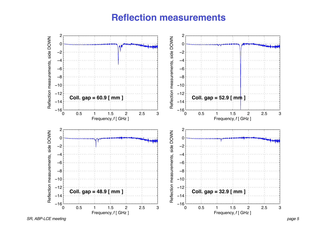### **Reflection measurements**

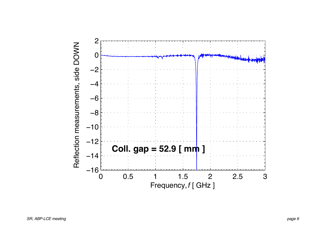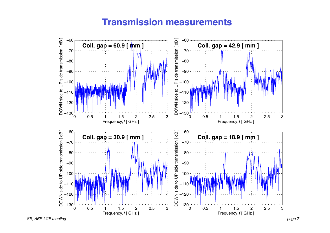#### **Transmission measurements**